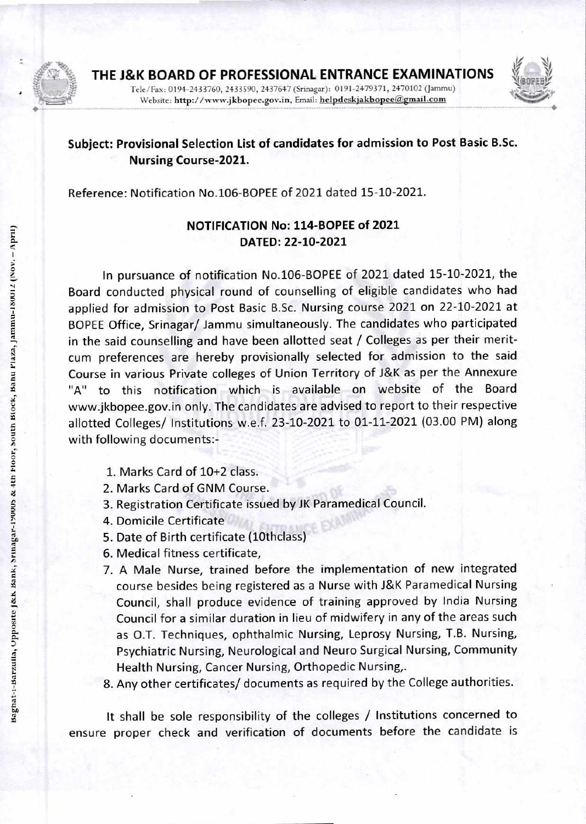

•



# **Subject: Provisional Selection List of candidates for admission to Post Basic B.Sc. Nursing Course-2021.**

Reference: Notification No.106-BOPEE of 2021 dated 15-10-2021.

# **NOTIFICATION No: 114-BOPEE of 2021 DATED: 22-10-2021**

In pursuance of notification No.106-BOPEE of 2021 dated 15-10-2021, the Board conducted physical round of counselling of eligible candidates who had applied for admission to Post Basic B.Sc. Nursing course 2021 on 22-10-2021 at BOPEE Office, Srinagar/ Jammu simultaneously. The candidates who participated in the said counselling and have been allotted seat / Colleges as per their meritcum preferences are hereby provisionally selected for admission to the said Course in various Private colleges of Union Territory of J&K as per the Annexure "A" to this notification which is available on website of the Board www.jkbopee.gov.in only. The candidates are advised to report to their respective allotted Colleges/ Institutions w.e.f. 23-10-2021 to 01-11-2021 (03.00 PM) along with following documents:-

- 1. Marks Card of 10+2 class.
- 2. Marks Card of GNM Course.
- 3. Registration Certificate issued by JK Paramedical Council.
- 4. Domicile Certificate
- 5. Date of Birth certificate (10thclass)
- 6. Medical fitness certificate,
- Psychiatric Nursing, Neurological and Neuro Surgical Nursing, Community Health Nursing, Cancer Nursing, Orthopedic Nursing,. 7. A Male Nurse, trained before the implementation of new integrated course besides being registered as a Nurse with J&K Paramedical Nursing Council, shall produce evidence of training approved by India Nursing Council for a similar duration in lieu of midwifery in any of the areas such as O.T. Techniques, ophthalmic Nursing, Leprosy Nursing, T.B. Nursing,
- 8. Any other certificates/ documents as required by the College authorities.

It shall be sole responsibility of the colleges / Institutions concerned to ensure proper check and verification of documents before the candidate is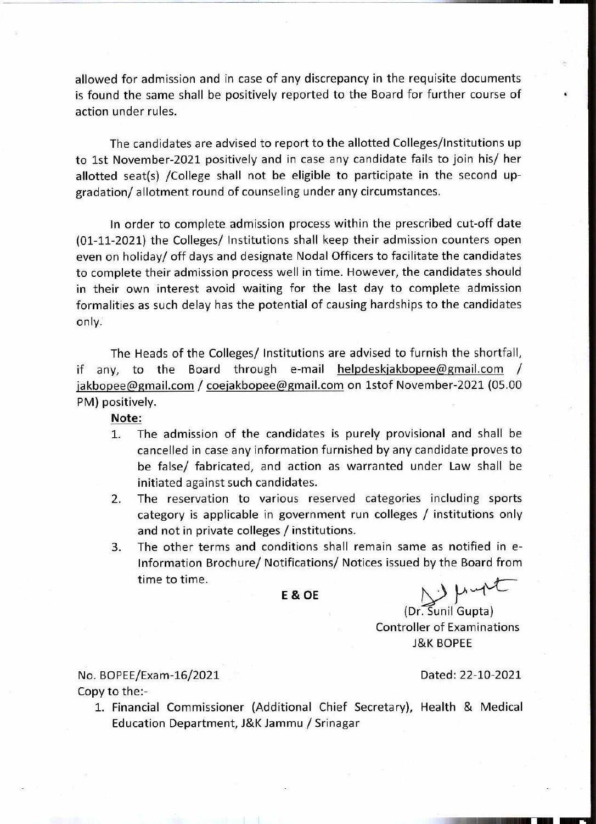allowed for admission and in case of any discrepancy in the requisite documents is found the same shall be positively reported to the Board for further course of action under rules.

The candidates are advised to report to the allotted Colleges/Institutions up to 1st November-2021 positively and in case any candidate fails to join his/ her allotted seat(s) /College shall not be eligible to participate in the second upgradation/ allotment round of counseling under any circumstances.

In order to complete admission process within the prescribed cut-off date (01-11-2021) the Colleges/ Institutions shall keep their admission counters open even on holiday/ off days and designate Nodal Officers to facilitate the candidates to complete their admission process well in time. However, the candidates should in their own interest avoid waiting for the last day to complete admission formalities as such delay has the potential of causing hardships to the candidates only.

The Heads of the Colleges/ Institutions are advised to furnish the shortfall, if any, to the Board through e-mail helpdeskjakbopee@gmail.com/ jakbopee@gmail.com / coejakbopee@gmail.com on 1stof November-2021 (05.00 PM) positively.

**Note:** 

- 1. The admission of the candidates is purely provisional and shall be cancelled in case any information furnished by any candidate proves to be false/ fabricated, and action as warranted under Law shall be initiated against such candidates.
- 2. The reservation to various reserved categories including sports category is applicable in government run colleges / institutions only and not in private colleges / institutions.
- 3. The other terms and conditions shall remain same as notified in e-Information Brochure/ Notifications/ Notices issued by the Board from time to time.

**E & OE** 

 $\bigcup_{\text{(Dr. Sunil Gupta)}}$ 

Controller of Examinations J&K BOPEE

No. BOPEE/Exam-16/2021 Copy to the:-

Dated: 22-10-2021

1. Financial Commissioner (Additional Chief Secretary), Health & Medical Education Department, J&K Jammu / Srinagar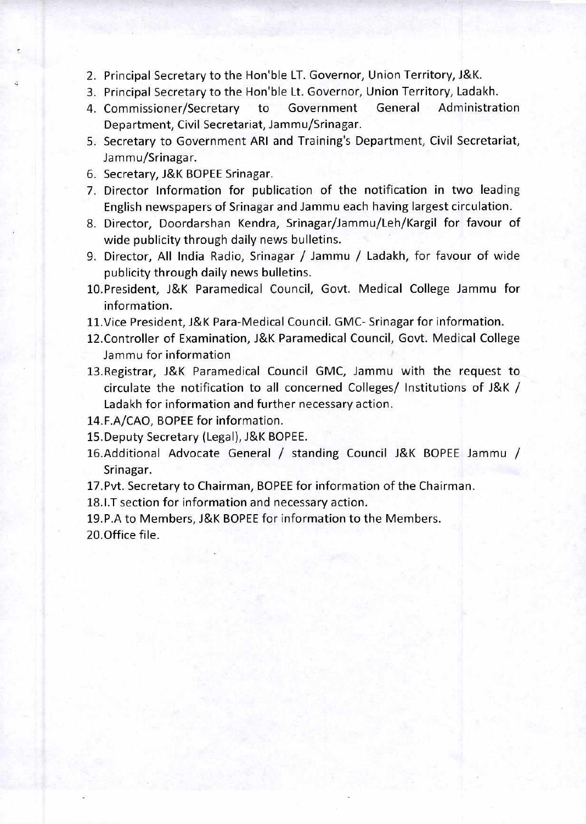- 2. Principal Secretary to the Hon'ble LT. Governor, Union Territory, J&K.
- 3. Principal Secretary to the Hon'ble Lt. Governor, Union Territory, Ladakh.
- 4. Commissioner/Secretary to Government General Administration Department, Civil Secretariat, Jammu/Srinagar.
- 5. Secretary to Government ARI and Training's Department, Civil Secretariat, Jammu/Srinagar.
- 6. Secretary, J&K BOPEE Srinagar.
- 7. Director Information for publication of the notification in two leading English newspapers of Srinagar and Jammu each having largest circulation.
- 8. Director, Doordarshan Kendra, Srinagar/Jammu/Leh/Kargil for favour of wide publicity through daily news bulletins.
- 9. Director, All India Radio, Srinagar / Jammu / Ladakh, for favour of wide publicity through daily news bulletins.
- 10.President, J&K Paramedical Council, Govt. Medical College Jammu for information.
- 11.Vice President, J&K Para-Medical Council. GMC- Srinagar for information.
- 12.Controller of Examination, J&K Paramedical Council, Govt. Medical College Jammu for information
- 13.Registrar, J&K Paramedical Council GMC, Jammu with the request to circulate the notification to all concerned Colleges/ Institutions of J&K / Ladakh for information and further necessary action.
- 14.F.A/CAO, BOPEE for information.
- 15.Deputy Secretary (Legal), J&K BOPEE.
- 16.Additional Advocate General / standing Council J&K BOPEE Jammu / Srinagar.
- 17.Pvt. Secretary to Chairman, BOPEE for information of the Chairman.
- 18.I.T section for information and necessary action.
- 19.P.A to Members, J&K BOPEE for information to the Members.

20.Office file.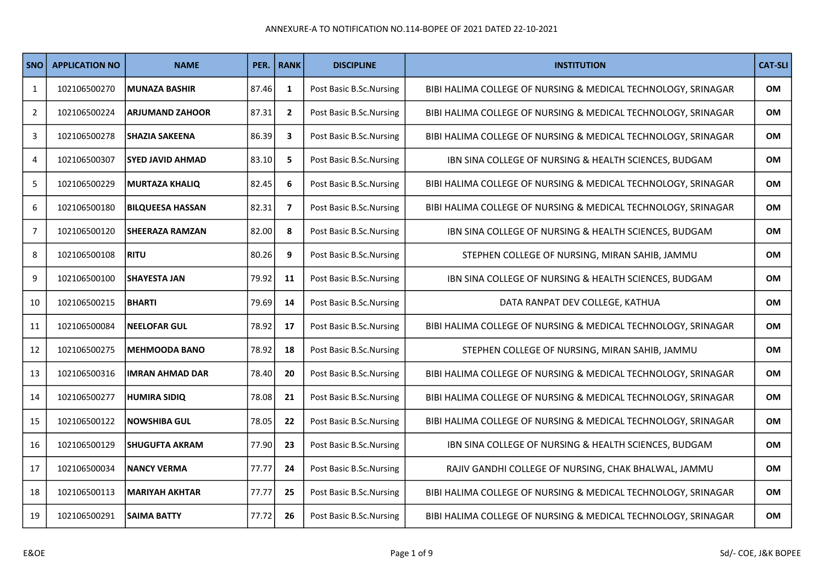| <b>SNO</b>     | <b>APPLICATION NO</b> | <b>NAME</b>            | PER.  | <b>RANK</b>    | <b>DISCIPLINE</b>       | <b>INSTITUTION</b>                                            | <b>CAT-SLI</b> |
|----------------|-----------------------|------------------------|-------|----------------|-------------------------|---------------------------------------------------------------|----------------|
| 1              | 102106500270          | MUNAZA BASHIR          | 87.46 | 1              | Post Basic B.Sc.Nursing | BIBI HALIMA COLLEGE OF NURSING & MEDICAL TECHNOLOGY, SRINAGAR | <b>OM</b>      |
| 2              | 102106500224          | <b>ARJUMAND ZAHOOR</b> | 87.31 | $\overline{2}$ | Post Basic B.Sc.Nursing | BIBI HALIMA COLLEGE OF NURSING & MEDICAL TECHNOLOGY, SRINAGAR | <b>OM</b>      |
| 3              | 102106500278          | SHAZIA SAKEENA         | 86.39 | 3              | Post Basic B.Sc.Nursing | BIBI HALIMA COLLEGE OF NURSING & MEDICAL TECHNOLOGY, SRINAGAR | <b>OM</b>      |
| $\overline{4}$ | 102106500307          | SYED JAVID AHMAD       | 83.10 | 5              | Post Basic B.Sc.Nursing | IBN SINA COLLEGE OF NURSING & HEALTH SCIENCES, BUDGAM         | <b>OM</b>      |
| 5              | 102106500229          | MURTAZA KHALIQ         | 82.45 | 6              | Post Basic B.Sc.Nursing | BIBI HALIMA COLLEGE OF NURSING & MEDICAL TECHNOLOGY, SRINAGAR | <b>OM</b>      |
| 6              | 102106500180          | BILQUEESA HASSAN       | 82.31 | $\overline{7}$ | Post Basic B.Sc.Nursing | BIBI HALIMA COLLEGE OF NURSING & MEDICAL TECHNOLOGY, SRINAGAR | <b>OM</b>      |
| $\overline{7}$ | 102106500120          | <b>SHEERAZA RAMZAN</b> | 82.00 | 8              | Post Basic B.Sc.Nursing | IBN SINA COLLEGE OF NURSING & HEALTH SCIENCES, BUDGAM         | <b>OM</b>      |
| 8              | 102106500108          | <b>RITU</b>            | 80.26 | 9              | Post Basic B.Sc.Nursing | STEPHEN COLLEGE OF NURSING, MIRAN SAHIB, JAMMU                | <b>OM</b>      |
| 9              | 102106500100          | <b>SHAYESTA JAN</b>    | 79.92 | 11             | Post Basic B.Sc.Nursing | IBN SINA COLLEGE OF NURSING & HEALTH SCIENCES, BUDGAM         | <b>OM</b>      |
| 10             | 102106500215          | <b>BHARTI</b>          | 79.69 | 14             | Post Basic B.Sc.Nursing | DATA RANPAT DEV COLLEGE, KATHUA                               | OM             |
| 11             | 102106500084          | NEELOFAR GUL           | 78.92 | 17             | Post Basic B.Sc.Nursing | BIBI HALIMA COLLEGE OF NURSING & MEDICAL TECHNOLOGY, SRINAGAR | <b>OM</b>      |
| 12             | 102106500275          | MEHMOODA BANO          | 78.92 | 18             | Post Basic B.Sc.Nursing | STEPHEN COLLEGE OF NURSING, MIRAN SAHIB, JAMMU                | <b>OM</b>      |
| 13             | 102106500316          | IMRAN AHMAD DAR        | 78.40 | 20             | Post Basic B.Sc.Nursing | BIBI HALIMA COLLEGE OF NURSING & MEDICAL TECHNOLOGY, SRINAGAR | <b>OM</b>      |
| 14             | 102106500277          | <b>HUMIRA SIDIQ</b>    | 78.08 | 21             | Post Basic B.Sc.Nursing | BIBI HALIMA COLLEGE OF NURSING & MEDICAL TECHNOLOGY, SRINAGAR | <b>OM</b>      |
| 15             | 102106500122          | <b>NOWSHIBA GUL</b>    | 78.05 | 22             | Post Basic B.Sc.Nursing | BIBI HALIMA COLLEGE OF NURSING & MEDICAL TECHNOLOGY, SRINAGAR | <b>OM</b>      |
| 16             | 102106500129          | SHUGUFTA AKRAM         | 77.90 | 23             | Post Basic B.Sc.Nursing | IBN SINA COLLEGE OF NURSING & HEALTH SCIENCES, BUDGAM         | <b>OM</b>      |
| 17             | 102106500034          | <b>NANCY VERMA</b>     | 77.77 | 24             | Post Basic B.Sc.Nursing | RAJIV GANDHI COLLEGE OF NURSING, CHAK BHALWAL, JAMMU          | OM             |
| 18             | 102106500113          | <b>MARIYAH AKHTAR</b>  | 77.77 | 25             | Post Basic B.Sc.Nursing | BIBI HALIMA COLLEGE OF NURSING & MEDICAL TECHNOLOGY, SRINAGAR | <b>OM</b>      |
| 19             | 102106500291          | SAIMA BATTY            | 77.72 | 26             | Post Basic B.Sc.Nursing | BIBI HALIMA COLLEGE OF NURSING & MEDICAL TECHNOLOGY, SRINAGAR | <b>OM</b>      |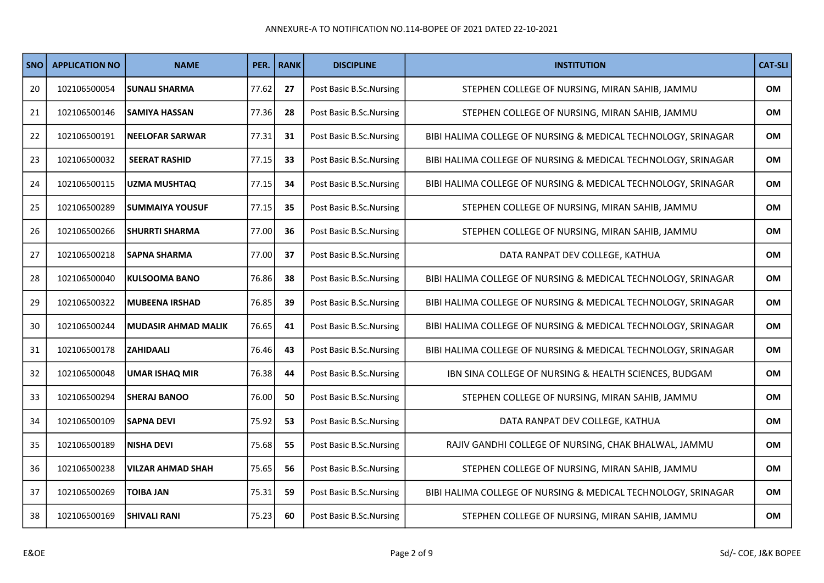| <b>SNO</b> | <b>APPLICATION NO</b> | <b>NAME</b>              | PER.  | <b>RANK</b> | <b>DISCIPLINE</b>       | <b>INSTITUTION</b>                                            | <b>CAT-SLI</b> |
|------------|-----------------------|--------------------------|-------|-------------|-------------------------|---------------------------------------------------------------|----------------|
| 20         | 102106500054          | <b>SUNALI SHARMA</b>     | 77.62 | 27          | Post Basic B.Sc.Nursing | STEPHEN COLLEGE OF NURSING, MIRAN SAHIB, JAMMU                | <b>OM</b>      |
| 21         | 102106500146          | <b>ISAMIYA HASSAN</b>    | 77.36 | 28          | Post Basic B.Sc.Nursing | STEPHEN COLLEGE OF NURSING, MIRAN SAHIB, JAMMU                | <b>OM</b>      |
| 22         | 102106500191          | NEELOFAR SARWAR          | 77.31 | 31          | Post Basic B.Sc.Nursing | BIBI HALIMA COLLEGE OF NURSING & MEDICAL TECHNOLOGY, SRINAGAR | <b>OM</b>      |
| 23         | 102106500032          | <b>SEERAT RASHID</b>     | 77.15 | 33          | Post Basic B.Sc.Nursing | BIBI HALIMA COLLEGE OF NURSING & MEDICAL TECHNOLOGY, SRINAGAR | <b>OM</b>      |
| 24         | 102106500115          | <b>UZMA MUSHTAQ</b>      | 77.15 | 34          | Post Basic B.Sc.Nursing | BIBI HALIMA COLLEGE OF NURSING & MEDICAL TECHNOLOGY, SRINAGAR | <b>OM</b>      |
| 25         | 102106500289          | <b>SUMMAIYA YOUSUF</b>   | 77.15 | 35          | Post Basic B.Sc.Nursing | STEPHEN COLLEGE OF NURSING, MIRAN SAHIB, JAMMU                | <b>OM</b>      |
| 26         | 102106500266          | SHURRTI SHARMA           | 77.00 | 36          | Post Basic B.Sc.Nursing | STEPHEN COLLEGE OF NURSING, MIRAN SAHIB, JAMMU                | <b>OM</b>      |
| 27         | 102106500218          | <b>ISAPNA SHARMA</b>     | 77.00 | 37          | Post Basic B.Sc.Nursing | DATA RANPAT DEV COLLEGE, KATHUA                               | <b>OM</b>      |
| 28         | 102106500040          | <b>KULSOOMA BANO</b>     | 76.86 | 38          | Post Basic B.Sc.Nursing | BIBI HALIMA COLLEGE OF NURSING & MEDICAL TECHNOLOGY, SRINAGAR | <b>OM</b>      |
| 29         | 102106500322          | MUBEENA IRSHAD           | 76.85 | 39          | Post Basic B.Sc.Nursing | BIBI HALIMA COLLEGE OF NURSING & MEDICAL TECHNOLOGY, SRINAGAR | <b>OM</b>      |
| 30         | 102106500244          | MUDASIR AHMAD MALIK      | 76.65 | 41          | Post Basic B.Sc.Nursing | BIBI HALIMA COLLEGE OF NURSING & MEDICAL TECHNOLOGY, SRINAGAR | <b>OM</b>      |
| 31         | 102106500178          | <b>ZAHIDAALI</b>         | 76.46 | 43          | Post Basic B.Sc.Nursing | BIBI HALIMA COLLEGE OF NURSING & MEDICAL TECHNOLOGY, SRINAGAR | <b>OM</b>      |
| 32         | 102106500048          | UMAR ISHAQ MIR           | 76.38 | 44          | Post Basic B.Sc.Nursing | IBN SINA COLLEGE OF NURSING & HEALTH SCIENCES, BUDGAM         | <b>OM</b>      |
| 33         | 102106500294          | <b>SHERAJ BANOO</b>      | 76.00 | 50          | Post Basic B.Sc.Nursing | STEPHEN COLLEGE OF NURSING, MIRAN SAHIB, JAMMU                | <b>OM</b>      |
| 34         | 102106500109          | <b>SAPNA DEVI</b>        | 75.92 | 53          | Post Basic B.Sc.Nursing | DATA RANPAT DEV COLLEGE, KATHUA                               | <b>OM</b>      |
| 35         | 102106500189          | NISHA DEVI               | 75.68 | 55          | Post Basic B.Sc.Nursing | RAJIV GANDHI COLLEGE OF NURSING, CHAK BHALWAL, JAMMU          | <b>OM</b>      |
| 36         | 102106500238          | <b>VILZAR AHMAD SHAH</b> | 75.65 | 56          | Post Basic B.Sc.Nursing | STEPHEN COLLEGE OF NURSING, MIRAN SAHIB, JAMMU                | <b>OM</b>      |
| 37         | 102106500269          | TOIBA JAN                | 75.31 | 59          | Post Basic B.Sc.Nursing | BIBI HALIMA COLLEGE OF NURSING & MEDICAL TECHNOLOGY, SRINAGAR | <b>OM</b>      |
| 38         | 102106500169          | SHIVALI RANI             | 75.23 | 60          | Post Basic B.Sc.Nursing | STEPHEN COLLEGE OF NURSING, MIRAN SAHIB, JAMMU                | <b>OM</b>      |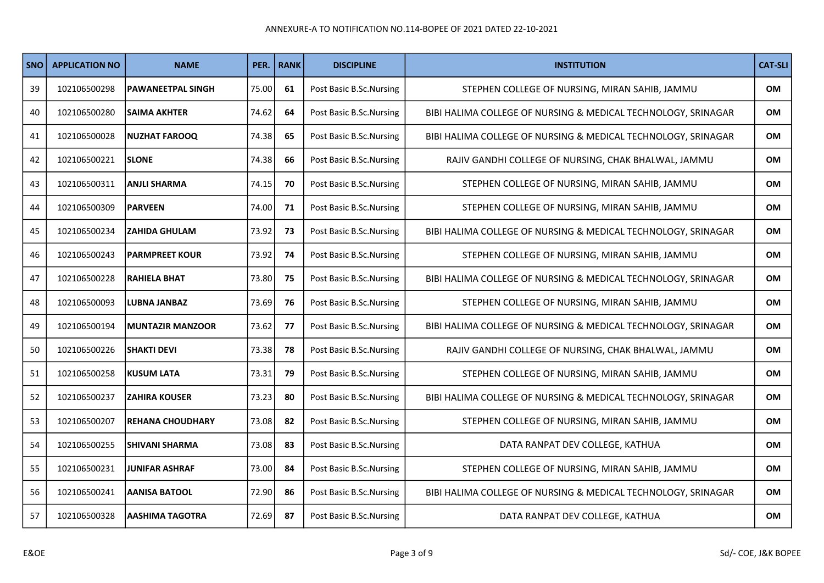| <b>SNO</b> | <b>APPLICATION NO</b> | <b>NAME</b>              | PER.  | <b>RANK</b> | <b>DISCIPLINE</b>       | <b>INSTITUTION</b>                                            | <b>CAT-SLI</b> |
|------------|-----------------------|--------------------------|-------|-------------|-------------------------|---------------------------------------------------------------|----------------|
| 39         | 102106500298          | <b>PAWANEETPAL SINGH</b> | 75.00 | 61          | Post Basic B.Sc.Nursing | STEPHEN COLLEGE OF NURSING, MIRAN SAHIB, JAMMU                | <b>OM</b>      |
| 40         | 102106500280          | <b>SAIMA AKHTER</b>      | 74.62 | 64          | Post Basic B.Sc.Nursing | BIBI HALIMA COLLEGE OF NURSING & MEDICAL TECHNOLOGY, SRINAGAR | <b>OM</b>      |
| 41         | 102106500028          | <b>NUZHAT FAROOQ</b>     | 74.38 | 65          | Post Basic B.Sc.Nursing | BIBI HALIMA COLLEGE OF NURSING & MEDICAL TECHNOLOGY, SRINAGAR | <b>OM</b>      |
| 42         | 102106500221          | <b>SLONE</b>             | 74.38 | 66          | Post Basic B.Sc.Nursing | RAJIV GANDHI COLLEGE OF NURSING, CHAK BHALWAL, JAMMU          | <b>OM</b>      |
| 43         | 102106500311          | ANJLI SHARMA             | 74.15 | 70          | Post Basic B.Sc.Nursing | STEPHEN COLLEGE OF NURSING, MIRAN SAHIB, JAMMU                | <b>OM</b>      |
| 44         | 102106500309          | <b>PARVEEN</b>           | 74.00 | 71          | Post Basic B.Sc.Nursing | STEPHEN COLLEGE OF NURSING, MIRAN SAHIB, JAMMU                | <b>OM</b>      |
| 45         | 102106500234          | <b>ZAHIDA GHULAM</b>     | 73.92 | 73          | Post Basic B.Sc.Nursing | BIBI HALIMA COLLEGE OF NURSING & MEDICAL TECHNOLOGY, SRINAGAR | <b>OM</b>      |
| 46         | 102106500243          | <b>PARMPREET KOUR</b>    | 73.92 | 74          | Post Basic B.Sc.Nursing | STEPHEN COLLEGE OF NURSING, MIRAN SAHIB, JAMMU                | <b>OM</b>      |
| 47         | 102106500228          | <b>RAHIELA BHAT</b>      | 73.80 | 75          | Post Basic B.Sc.Nursing | BIBI HALIMA COLLEGE OF NURSING & MEDICAL TECHNOLOGY, SRINAGAR | <b>OM</b>      |
| 48         | 102106500093          | <b>LUBNA JANBAZ</b>      | 73.69 | 76          | Post Basic B.Sc.Nursing | STEPHEN COLLEGE OF NURSING, MIRAN SAHIB, JAMMU                | <b>OM</b>      |
| 49         | 102106500194          | MUNTAZIR MANZOOR         | 73.62 | 77          | Post Basic B.Sc.Nursing | BIBI HALIMA COLLEGE OF NURSING & MEDICAL TECHNOLOGY, SRINAGAR | <b>OM</b>      |
| 50         | 102106500226          | <b>ISHAKTI DEVI</b>      | 73.38 | 78          | Post Basic B.Sc.Nursing | RAJIV GANDHI COLLEGE OF NURSING, CHAK BHALWAL, JAMMU          | <b>OM</b>      |
| 51         | 102106500258          | KUSUM LATA               | 73.31 | 79          | Post Basic B.Sc.Nursing | STEPHEN COLLEGE OF NURSING, MIRAN SAHIB, JAMMU                | <b>OM</b>      |
| 52         | 102106500237          | <b>ZAHIRA KOUSER</b>     | 73.23 | 80          | Post Basic B.Sc.Nursing | BIBI HALIMA COLLEGE OF NURSING & MEDICAL TECHNOLOGY, SRINAGAR | <b>OM</b>      |
| 53         | 102106500207          | <b>IREHANA CHOUDHARY</b> | 73.08 | 82          | Post Basic B.Sc.Nursing | STEPHEN COLLEGE OF NURSING, MIRAN SAHIB, JAMMU                | <b>OM</b>      |
| 54         | 102106500255          | İSHIVANI SHARMA          | 73.08 | 83          | Post Basic B.Sc.Nursing | DATA RANPAT DEV COLLEGE, KATHUA                               | <b>OM</b>      |
| 55         | 102106500231          | <b>JUNIFAR ASHRAF</b>    | 73.00 | 84          | Post Basic B.Sc.Nursing | STEPHEN COLLEGE OF NURSING, MIRAN SAHIB, JAMMU                | <b>OM</b>      |
| 56         | 102106500241          | <b>AANISA BATOOL</b>     | 72.90 | 86          | Post Basic B.Sc.Nursing | BIBI HALIMA COLLEGE OF NURSING & MEDICAL TECHNOLOGY, SRINAGAR | <b>OM</b>      |
| 57         | 102106500328          | AASHIMA TAGOTRA          | 72.69 | 87          | Post Basic B.Sc.Nursing | DATA RANPAT DEV COLLEGE, KATHUA                               | <b>OM</b>      |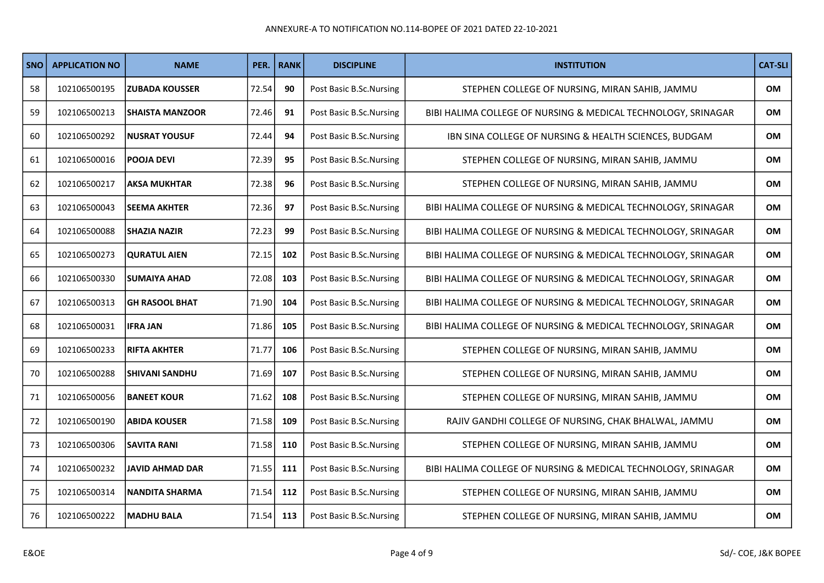| <b>SNO</b> | <b>APPLICATION NO</b> | <b>NAME</b>             | PER.  | <b>RANK</b> | <b>DISCIPLINE</b>       | <b>INSTITUTION</b>                                            | <b>CAT-SLI</b> |
|------------|-----------------------|-------------------------|-------|-------------|-------------------------|---------------------------------------------------------------|----------------|
| 58         | 102106500195          | <b>ZUBADA KOUSSER</b>   | 72.54 | 90          | Post Basic B.Sc.Nursing | STEPHEN COLLEGE OF NURSING, MIRAN SAHIB, JAMMU                | <b>OM</b>      |
| 59         | 102106500213          | <b>ISHAISTA MANZOOR</b> | 72.46 | 91          | Post Basic B.Sc.Nursing | BIBI HALIMA COLLEGE OF NURSING & MEDICAL TECHNOLOGY, SRINAGAR | <b>OM</b>      |
| 60         | 102106500292          | NUSRAT YOUSUF           | 72.44 | 94          | Post Basic B.Sc.Nursing | IBN SINA COLLEGE OF NURSING & HEALTH SCIENCES, BUDGAM         | <b>OM</b>      |
| 61         | 102106500016          | POOJA DEVI              | 72.39 | 95          | Post Basic B.Sc.Nursing | STEPHEN COLLEGE OF NURSING, MIRAN SAHIB, JAMMU                | <b>OM</b>      |
| 62         | 102106500217          | <b>AKSA MUKHTAR</b>     | 72.38 | 96          | Post Basic B.Sc.Nursing | STEPHEN COLLEGE OF NURSING, MIRAN SAHIB, JAMMU                | <b>OM</b>      |
| 63         | 102106500043          | <b>SEEMA AKHTER</b>     | 72.36 | 97          | Post Basic B.Sc.Nursing | BIBI HALIMA COLLEGE OF NURSING & MEDICAL TECHNOLOGY, SRINAGAR | <b>OM</b>      |
| 64         | 102106500088          | <b>SHAZIA NAZIR</b>     | 72.23 | 99          | Post Basic B.Sc.Nursing | BIBI HALIMA COLLEGE OF NURSING & MEDICAL TECHNOLOGY, SRINAGAR | <b>OM</b>      |
| 65         | 102106500273          | <b>QURATUL AIEN</b>     | 72.15 | 102         | Post Basic B.Sc.Nursing | BIBI HALIMA COLLEGE OF NURSING & MEDICAL TECHNOLOGY, SRINAGAR | <b>OM</b>      |
| 66         | 102106500330          | <b>SUMAIYA AHAD</b>     | 72.08 | 103         | Post Basic B.Sc.Nursing | BIBI HALIMA COLLEGE OF NURSING & MEDICAL TECHNOLOGY, SRINAGAR | <b>OM</b>      |
| 67         | 102106500313          | <b>GH RASOOL BHAT</b>   | 71.90 | 104         | Post Basic B.Sc.Nursing | BIBI HALIMA COLLEGE OF NURSING & MEDICAL TECHNOLOGY, SRINAGAR | <b>OM</b>      |
| 68         | 102106500031          | <b>IFRA JAN</b>         | 71.86 | 105         | Post Basic B.Sc.Nursing | BIBI HALIMA COLLEGE OF NURSING & MEDICAL TECHNOLOGY, SRINAGAR | <b>OM</b>      |
| 69         | 102106500233          | RIFTA AKHTER            | 71.77 | 106         | Post Basic B.Sc.Nursing | STEPHEN COLLEGE OF NURSING, MIRAN SAHIB, JAMMU                | <b>OM</b>      |
| 70         | 102106500288          | <b>SHIVANI SANDHU</b>   | 71.69 | 107         | Post Basic B.Sc.Nursing | STEPHEN COLLEGE OF NURSING, MIRAN SAHIB, JAMMU                | <b>OM</b>      |
| 71         | 102106500056          | <b>IBANEET KOUR</b>     | 71.62 | 108         | Post Basic B.Sc.Nursing | STEPHEN COLLEGE OF NURSING, MIRAN SAHIB, JAMMU                | <b>OM</b>      |
| 72         | 102106500190          | <b>ABIDA KOUSER</b>     | 71.58 | 109         | Post Basic B.Sc.Nursing | RAJIV GANDHI COLLEGE OF NURSING, CHAK BHALWAL, JAMMU          | <b>OM</b>      |
| 73         | 102106500306          | <b>SAVITA RANI</b>      | 71.58 | 110         | Post Basic B.Sc.Nursing | STEPHEN COLLEGE OF NURSING, MIRAN SAHIB, JAMMU                | <b>OM</b>      |
| 74         | 102106500232          | <b>JAVID AHMAD DAR</b>  | 71.55 | 111         | Post Basic B.Sc.Nursing | BIBI HALIMA COLLEGE OF NURSING & MEDICAL TECHNOLOGY, SRINAGAR | <b>OM</b>      |
| 75         | 102106500314          | <b>NANDITA SHARMA</b>   | 71.54 | 112         | Post Basic B.Sc.Nursing | STEPHEN COLLEGE OF NURSING, MIRAN SAHIB, JAMMU                | <b>OM</b>      |
| 76         | 102106500222          | MADHU BALA              | 71.54 | 113         | Post Basic B.Sc.Nursing | STEPHEN COLLEGE OF NURSING, MIRAN SAHIB, JAMMU                | <b>OM</b>      |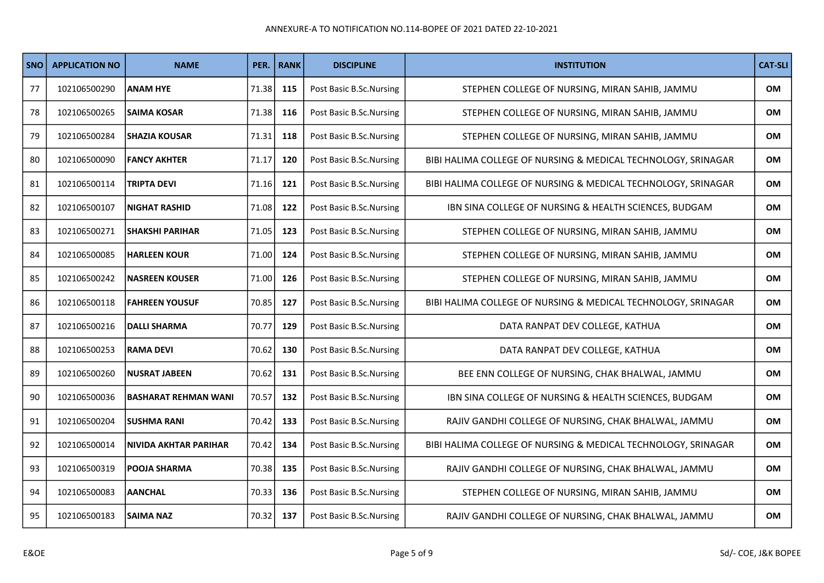| <b>SNO</b> | <b>APPLICATION NO</b> | <b>NAME</b>                  | PER.  | <b>RANK</b> | <b>DISCIPLINE</b>       | <b>INSTITUTION</b>                                            | <b>CAT-SLI</b> |
|------------|-----------------------|------------------------------|-------|-------------|-------------------------|---------------------------------------------------------------|----------------|
| 77         | 102106500290          | <b>ANAM HYE</b>              | 71.38 | 115         | Post Basic B.Sc.Nursing | STEPHEN COLLEGE OF NURSING, MIRAN SAHIB, JAMMU                | OM             |
| 78         | 102106500265          | <b>SAIMA KOSAR</b>           | 71.38 | 116         | Post Basic B.Sc.Nursing | STEPHEN COLLEGE OF NURSING, MIRAN SAHIB, JAMMU                | <b>OM</b>      |
| 79         | 102106500284          | <b>SHAZIA KOUSAR</b>         | 71.31 | 118         | Post Basic B.Sc.Nursing | STEPHEN COLLEGE OF NURSING, MIRAN SAHIB, JAMMU                | <b>OM</b>      |
| 80         | 102106500090          | <b>FANCY AKHTER</b>          | 71.17 | 120         | Post Basic B.Sc.Nursing | BIBI HALIMA COLLEGE OF NURSING & MEDICAL TECHNOLOGY, SRINAGAR | <b>OM</b>      |
| 81         | 102106500114          | <b>TRIPTA DEVI</b>           | 71.16 | 121         | Post Basic B.Sc.Nursing | BIBI HALIMA COLLEGE OF NURSING & MEDICAL TECHNOLOGY, SRINAGAR | <b>OM</b>      |
| 82         | 102106500107          | NIGHAT RASHID                | 71.08 | 122         | Post Basic B.Sc.Nursing | IBN SINA COLLEGE OF NURSING & HEALTH SCIENCES, BUDGAM         | OM             |
| 83         | 102106500271          | <b>SHAKSHI PARIHAR</b>       | 71.05 | 123         | Post Basic B.Sc.Nursing | STEPHEN COLLEGE OF NURSING, MIRAN SAHIB, JAMMU                | <b>OM</b>      |
| 84         | 102106500085          | <b>HARLEEN KOUR</b>          | 71.00 | 124         | Post Basic B.Sc.Nursing | STEPHEN COLLEGE OF NURSING, MIRAN SAHIB, JAMMU                | <b>OM</b>      |
| 85         | 102106500242          | <b>NASREEN KOUSER</b>        | 71.00 | 126         | Post Basic B.Sc.Nursing | STEPHEN COLLEGE OF NURSING, MIRAN SAHIB, JAMMU                | <b>OM</b>      |
| 86         | 102106500118          | <b>FAHREEN YOUSUF</b>        | 70.85 | 127         | Post Basic B.Sc.Nursing | BIBI HALIMA COLLEGE OF NURSING & MEDICAL TECHNOLOGY, SRINAGAR | <b>OM</b>      |
| 87         | 102106500216          | <b>DALLI SHARMA</b>          | 70.77 | 129         | Post Basic B.Sc.Nursing | DATA RANPAT DEV COLLEGE, KATHUA                               | <b>OM</b>      |
| 88         | 102106500253          | <b>RAMA DEVI</b>             | 70.62 | 130         | Post Basic B.Sc.Nursing | DATA RANPAT DEV COLLEGE, KATHUA                               | <b>OM</b>      |
| 89         | 102106500260          | <b>NUSRAT JABEEN</b>         | 70.62 | 131         | Post Basic B.Sc.Nursing | BEE ENN COLLEGE OF NURSING, CHAK BHALWAL, JAMMU               | <b>OM</b>      |
| 90         | 102106500036          | <b>BASHARAT REHMAN WANI</b>  | 70.57 | 132         | Post Basic B.Sc.Nursing | IBN SINA COLLEGE OF NURSING & HEALTH SCIENCES, BUDGAM         | OM             |
| 91         | 102106500204          | <b>SUSHMA RANI</b>           | 70.42 | 133         | Post Basic B.Sc.Nursing | RAJIV GANDHI COLLEGE OF NURSING, CHAK BHALWAL, JAMMU          | <b>OM</b>      |
| 92         | 102106500014          | <b>NIVIDA AKHTAR PARIHAR</b> | 70.42 | 134         | Post Basic B.Sc.Nursing | BIBI HALIMA COLLEGE OF NURSING & MEDICAL TECHNOLOGY, SRINAGAR | <b>OM</b>      |
| 93         | 102106500319          | <b>POOJA SHARMA</b>          | 70.38 | 135         | Post Basic B.Sc.Nursing | RAJIV GANDHI COLLEGE OF NURSING, CHAK BHALWAL, JAMMU          | <b>OM</b>      |
| 94         | 102106500083          | <b>AANCHAL</b>               | 70.33 | 136         | Post Basic B.Sc.Nursing | STEPHEN COLLEGE OF NURSING, MIRAN SAHIB, JAMMU                | <b>OM</b>      |
| 95         | 102106500183          | SAIMA NAZ                    | 70.32 | 137         | Post Basic B.Sc.Nursing | RAJIV GANDHI COLLEGE OF NURSING, CHAK BHALWAL, JAMMU          | <b>OM</b>      |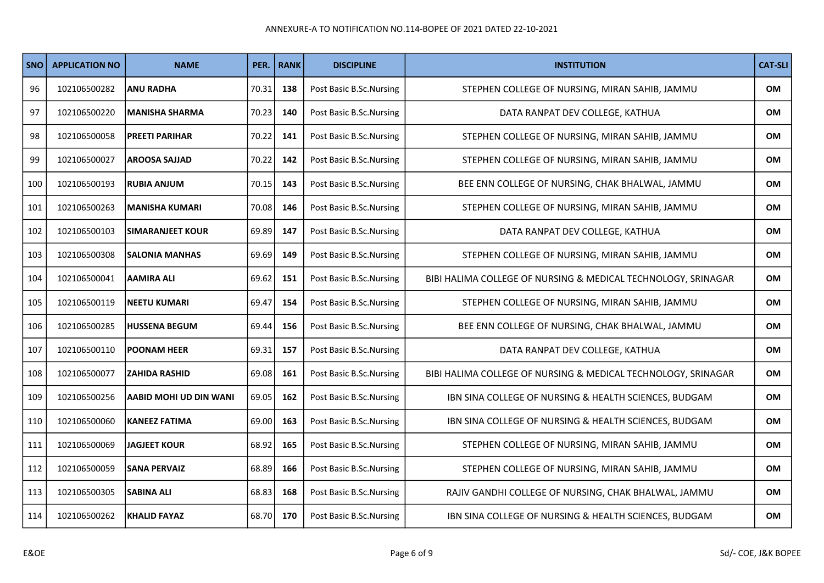| <b>SNO</b> | <b>APPLICATION NO</b> | <b>NAME</b>            | PER.  | <b>RANK</b> | <b>DISCIPLINE</b>       | <b>INSTITUTION</b>                                            | <b>CAT-SLI</b> |
|------------|-----------------------|------------------------|-------|-------------|-------------------------|---------------------------------------------------------------|----------------|
| 96         | 102106500282          | <b>ANU RADHA</b>       | 70.31 | 138         | Post Basic B.Sc.Nursing | STEPHEN COLLEGE OF NURSING, MIRAN SAHIB, JAMMU                | <b>OM</b>      |
| 97         | 102106500220          | <b>MANISHA SHARMA</b>  | 70.23 | 140         | Post Basic B.Sc.Nursing | DATA RANPAT DEV COLLEGE, KATHUA                               | <b>OM</b>      |
| 98         | 102106500058          | PREETI PARIHAR         | 70.22 | 141         | Post Basic B.Sc.Nursing | STEPHEN COLLEGE OF NURSING, MIRAN SAHIB, JAMMU                | OM             |
| 99         | 102106500027          | AROOSA SAJJAD          | 70.22 | 142         | Post Basic B.Sc.Nursing | STEPHEN COLLEGE OF NURSING, MIRAN SAHIB, JAMMU                | <b>OM</b>      |
| 100        | 102106500193          | <b>RUBIA ANJUM</b>     | 70.15 | 143         | Post Basic B.Sc.Nursing | BEE ENN COLLEGE OF NURSING, CHAK BHALWAL, JAMMU               | <b>OM</b>      |
| 101        | 102106500263          | <b>MANISHA KUMARI</b>  | 70.08 | 146         | Post Basic B.Sc.Nursing | STEPHEN COLLEGE OF NURSING, MIRAN SAHIB, JAMMU                | <b>OM</b>      |
| 102        | 102106500103          | SIMARANJEET KOUR       | 69.89 | 147         | Post Basic B.Sc.Nursing | DATA RANPAT DEV COLLEGE, KATHUA                               | OM             |
| 103        | 102106500308          | <b>SALONIA MANHAS</b>  | 69.69 | 149         | Post Basic B.Sc.Nursing | STEPHEN COLLEGE OF NURSING, MIRAN SAHIB, JAMMU                | <b>OM</b>      |
| 104        | 102106500041          | <b>AAMIRA ALI</b>      | 69.62 | 151         | Post Basic B.Sc.Nursing | BIBI HALIMA COLLEGE OF NURSING & MEDICAL TECHNOLOGY, SRINAGAR | <b>OM</b>      |
| 105        | 102106500119          | <b>NEETU KUMARI</b>    | 69.47 | 154         | Post Basic B.Sc.Nursing | STEPHEN COLLEGE OF NURSING, MIRAN SAHIB, JAMMU                | <b>OM</b>      |
| 106        | 102106500285          | HUSSENA BEGUM          | 69.44 | 156         | Post Basic B.Sc.Nursing | BEE ENN COLLEGE OF NURSING, CHAK BHALWAL, JAMMU               | <b>OM</b>      |
| 107        | 102106500110          | <b>POONAM HEER</b>     | 69.31 | 157         | Post Basic B.Sc.Nursing | DATA RANPAT DEV COLLEGE, KATHUA                               | <b>OM</b>      |
| 108        | 102106500077          | <b>IZAHIDA RASHID</b>  | 69.08 | 161         | Post Basic B.Sc.Nursing | BIBI HALIMA COLLEGE OF NURSING & MEDICAL TECHNOLOGY, SRINAGAR | <b>OM</b>      |
| 109        | 102106500256          | AABID MOHI UD DIN WANI | 69.05 | 162         | Post Basic B.Sc.Nursing | IBN SINA COLLEGE OF NURSING & HEALTH SCIENCES, BUDGAM         | <b>OM</b>      |
| 110        | 102106500060          | <b>KANEEZ FATIMA</b>   | 69.00 | 163         | Post Basic B.Sc.Nursing | IBN SINA COLLEGE OF NURSING & HEALTH SCIENCES, BUDGAM         | <b>OM</b>      |
| 111        | 102106500069          | <b>JAGJEET KOUR</b>    | 68.92 | 165         | Post Basic B.Sc.Nursing | STEPHEN COLLEGE OF NURSING, MIRAN SAHIB, JAMMU                | <b>OM</b>      |
| 112        | 102106500059          | <b>SANA PERVAIZ</b>    | 68.89 | 166         | Post Basic B.Sc.Nursing | STEPHEN COLLEGE OF NURSING, MIRAN SAHIB, JAMMU                | <b>OM</b>      |
| 113        | 102106500305          | <b>SABINA ALI</b>      | 68.83 | 168         | Post Basic B.Sc.Nursing | RAJIV GANDHI COLLEGE OF NURSING, CHAK BHALWAL, JAMMU          | <b>OM</b>      |
| 114        | 102106500262          | KHALID FAYAZ           | 68.70 | 170         | Post Basic B.Sc.Nursing | IBN SINA COLLEGE OF NURSING & HEALTH SCIENCES, BUDGAM         | <b>OM</b>      |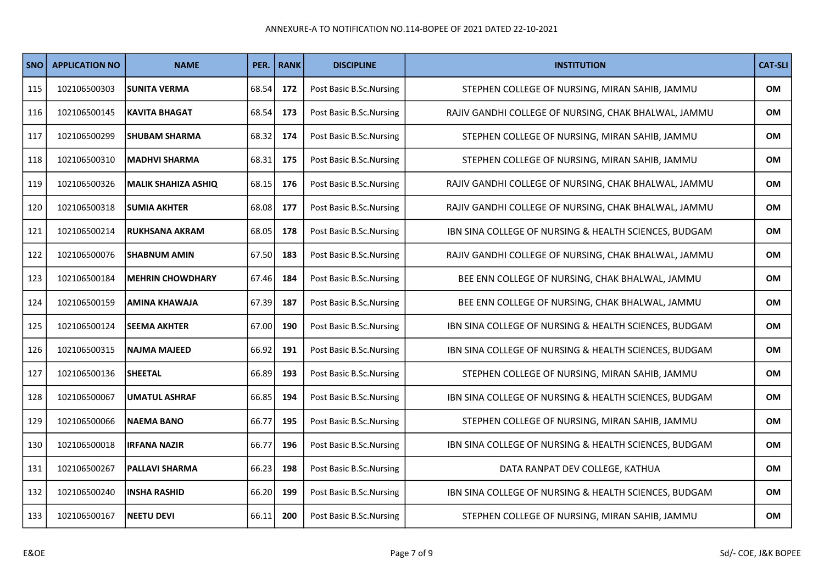| <b>SNO</b> | <b>APPLICATION NO</b> | <b>NAME</b>              | PER.  | <b>RANK</b> | <b>DISCIPLINE</b>       | <b>INSTITUTION</b>                                    | <b>CAT-SLI</b> |
|------------|-----------------------|--------------------------|-------|-------------|-------------------------|-------------------------------------------------------|----------------|
| 115        | 102106500303          | <b>ISUNITA VERMA</b>     | 68.54 | 172         | Post Basic B.Sc.Nursing | STEPHEN COLLEGE OF NURSING, MIRAN SAHIB, JAMMU        | OM             |
| 116        | 102106500145          | KAVITA BHAGAT            | 68.54 | 173         | Post Basic B.Sc.Nursing | RAJIV GANDHI COLLEGE OF NURSING, CHAK BHALWAL, JAMMU  | OМ             |
| 117        | 102106500299          | SHUBAM SHARMA            | 68.32 | 174         | Post Basic B.Sc.Nursing | STEPHEN COLLEGE OF NURSING, MIRAN SAHIB, JAMMU        | <b>OM</b>      |
| 118        | 102106500310          | MADHVI SHARMA            | 68.31 | 175         | Post Basic B.Sc.Nursing | STEPHEN COLLEGE OF NURSING, MIRAN SAHIB, JAMMU        | OM             |
| 119        | 102106500326          | MALIK SHAHIZA ASHIQ      | 68.15 | 176         | Post Basic B.Sc.Nursing | RAJIV GANDHI COLLEGE OF NURSING, CHAK BHALWAL, JAMMU  | <b>OM</b>      |
| 120        | 102106500318          | <b>ISUMIA AKHTER</b>     | 68.08 | 177         | Post Basic B.Sc.Nursing | RAJIV GANDHI COLLEGE OF NURSING, CHAK BHALWAL, JAMMU  | OМ             |
| 121        | 102106500214          | RUKHSANA AKRAM           | 68.05 | 178         | Post Basic B.Sc.Nursing | IBN SINA COLLEGE OF NURSING & HEALTH SCIENCES, BUDGAM | <b>OM</b>      |
| 122        | 102106500076          | SHABNUM AMIN             | 67.50 | 183         | Post Basic B.Sc.Nursing | RAJIV GANDHI COLLEGE OF NURSING, CHAK BHALWAL, JAMMU  | ОM             |
| 123        | 102106500184          | <b>IMEHRIN CHOWDHARY</b> | 67.46 | 184         | Post Basic B.Sc.Nursing | BEE ENN COLLEGE OF NURSING, CHAK BHALWAL, JAMMU       | <b>OM</b>      |
| 124        | 102106500159          | AMINA KHAWAJA            | 67.39 | 187         | Post Basic B.Sc.Nursing | BEE ENN COLLEGE OF NURSING, CHAK BHALWAL, JAMMU       | <b>OM</b>      |
| 125        | 102106500124          | SEEMA AKHTER             | 67.00 | 190         | Post Basic B.Sc.Nursing | IBN SINA COLLEGE OF NURSING & HEALTH SCIENCES, BUDGAM | <b>OM</b>      |
| 126        | 102106500315          | INAJMA MAJEED            | 66.92 | 191         | Post Basic B.Sc.Nursing | IBN SINA COLLEGE OF NURSING & HEALTH SCIENCES, BUDGAM | OM             |
| 127        | 102106500136          | <b>SHEETAL</b>           | 66.89 | 193         | Post Basic B.Sc.Nursing | STEPHEN COLLEGE OF NURSING, MIRAN SAHIB, JAMMU        | <b>OM</b>      |
| 128        | 102106500067          | <b>UMATUL ASHRAF</b>     | 66.85 | 194         | Post Basic B.Sc.Nursing | IBN SINA COLLEGE OF NURSING & HEALTH SCIENCES, BUDGAM | <b>OM</b>      |
| 129        | 102106500066          | <b>NAEMA BANO</b>        | 66.77 | 195         | Post Basic B.Sc.Nursing | STEPHEN COLLEGE OF NURSING, MIRAN SAHIB, JAMMU        | <b>OM</b>      |
| 130        | 102106500018          | <b>IRFANA NAZIR</b>      | 66.77 | 196         | Post Basic B.Sc.Nursing | IBN SINA COLLEGE OF NURSING & HEALTH SCIENCES, BUDGAM | OM             |
| 131        | 102106500267          | PALLAVI SHARMA           | 66.23 | 198         | Post Basic B.Sc.Nursing | DATA RANPAT DEV COLLEGE, KATHUA                       | OM             |
| 132        | 102106500240          | <b>INSHA RASHID</b>      | 66.20 | 199         | Post Basic B.Sc.Nursing | IBN SINA COLLEGE OF NURSING & HEALTH SCIENCES, BUDGAM | <b>OM</b>      |
| 133        | 102106500167          | <b>NEETU DEVI</b>        | 66.11 | 200         | Post Basic B.Sc.Nursing | STEPHEN COLLEGE OF NURSING, MIRAN SAHIB, JAMMU        | <b>OM</b>      |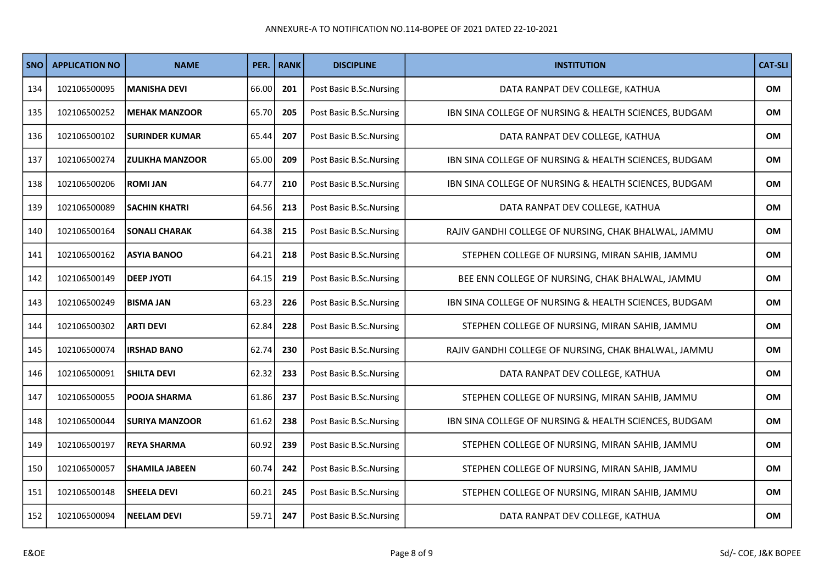| <b>SNO</b> | <b>APPLICATION NO</b> | <b>NAME</b>            | PER.  | <b>RANK</b> | <b>DISCIPLINE</b>       | <b>INSTITUTION</b>                                    | <b>CAT-SLI</b> |
|------------|-----------------------|------------------------|-------|-------------|-------------------------|-------------------------------------------------------|----------------|
| 134        | 102106500095          | <b>MANISHA DEVI</b>    | 66.00 | 201         | Post Basic B.Sc.Nursing | DATA RANPAT DEV COLLEGE, KATHUA                       | <b>OM</b>      |
| 135        | 102106500252          | <b>MEHAK MANZOOR</b>   | 65.70 | 205         | Post Basic B.Sc.Nursing | IBN SINA COLLEGE OF NURSING & HEALTH SCIENCES, BUDGAM | OM             |
| 136        | 102106500102          | SURINDER KUMAR         | 65.44 | 207         | Post Basic B.Sc.Nursing | DATA RANPAT DEV COLLEGE, KATHUA                       | <b>OM</b>      |
| 137        | 102106500274          | <b>ZULIKHA MANZOOR</b> | 65.00 | 209         | Post Basic B.Sc.Nursing | IBN SINA COLLEGE OF NURSING & HEALTH SCIENCES, BUDGAM | <b>OM</b>      |
| 138        | 102106500206          | <b>ROMI JAN</b>        | 64.77 | 210         | Post Basic B.Sc.Nursing | IBN SINA COLLEGE OF NURSING & HEALTH SCIENCES, BUDGAM | <b>OM</b>      |
| 139        | 102106500089          | SACHIN KHATRI          | 64.56 | 213         | Post Basic B.Sc.Nursing | DATA RANPAT DEV COLLEGE, KATHUA                       | <b>OM</b>      |
| 140        | 102106500164          | <b>SONALI CHARAK</b>   | 64.38 | 215         | Post Basic B.Sc.Nursing | RAJIV GANDHI COLLEGE OF NURSING, CHAK BHALWAL, JAMMU  | <b>OM</b>      |
| 141        | 102106500162          | <b>ASYIA BANOO</b>     | 64.21 | 218         | Post Basic B.Sc.Nursing | STEPHEN COLLEGE OF NURSING, MIRAN SAHIB, JAMMU        | <b>OM</b>      |
| 142        | 102106500149          | <b>DEEP JYOTI</b>      | 64.15 | 219         | Post Basic B.Sc.Nursing | BEE ENN COLLEGE OF NURSING, CHAK BHALWAL, JAMMU       | <b>OM</b>      |
| 143        | 102106500249          | <b>BISMA JAN</b>       | 63.23 | 226         | Post Basic B.Sc.Nursing | IBN SINA COLLEGE OF NURSING & HEALTH SCIENCES, BUDGAM | <b>OM</b>      |
| 144        | 102106500302          | <b>ARTI DEVI</b>       | 62.84 | 228         | Post Basic B.Sc.Nursing | STEPHEN COLLEGE OF NURSING, MIRAN SAHIB, JAMMU        | <b>OM</b>      |
| 145        | 102106500074          | <b>IIRSHAD BANO</b>    | 62.74 | 230         | Post Basic B.Sc.Nursing | RAJIV GANDHI COLLEGE OF NURSING, CHAK BHALWAL, JAMMU  | <b>OM</b>      |
| 146        | 102106500091          | <b>SHILTA DEVI</b>     | 62.32 | 233         | Post Basic B.Sc.Nursing | DATA RANPAT DEV COLLEGE, KATHUA                       | <b>OM</b>      |
| 147        | 102106500055          | POOJA SHARMA           | 61.86 | 237         | Post Basic B.Sc.Nursing | STEPHEN COLLEGE OF NURSING, MIRAN SAHIB, JAMMU        | OM             |
| 148        | 102106500044          | <b>SURIYA MANZOOR</b>  | 61.62 | 238         | Post Basic B.Sc.Nursing | IBN SINA COLLEGE OF NURSING & HEALTH SCIENCES, BUDGAM | <b>OM</b>      |
| 149        | 102106500197          | <b>IREYA SHARMA</b>    | 60.92 | 239         | Post Basic B.Sc.Nursing | STEPHEN COLLEGE OF NURSING, MIRAN SAHIB, JAMMU        | <b>OM</b>      |
| 150        | 102106500057          | <b>SHAMILA JABEEN</b>  | 60.74 | 242         | Post Basic B.Sc.Nursing | STEPHEN COLLEGE OF NURSING, MIRAN SAHIB, JAMMU        | OM             |
| 151        | 102106500148          | SHEELA DEVI            | 60.21 | 245         | Post Basic B.Sc.Nursing | STEPHEN COLLEGE OF NURSING, MIRAN SAHIB, JAMMU        | OM             |
| 152        | 102106500094          | NEELAM DEVI            | 59.71 | 247         | Post Basic B.Sc.Nursing | DATA RANPAT DEV COLLEGE, KATHUA                       | <b>OM</b>      |